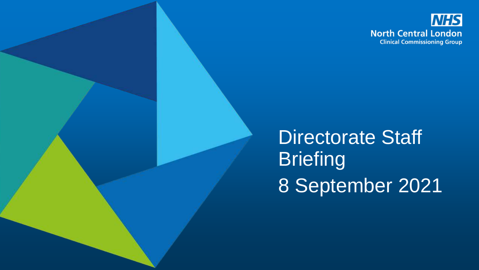

Directorate Staff **Briefing** 8 September 2021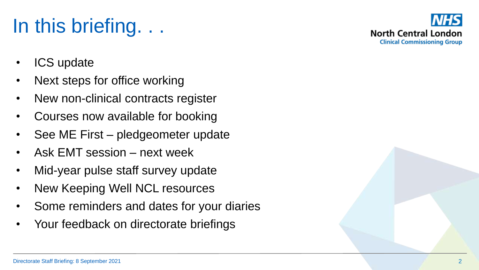# In this briefing. . .

- ICS update
- Next steps for office working
- New non-clinical contracts register
- Courses now available for booking
- See ME First pledgeometer update
- Ask EMT session next week
- Mid-year pulse staff survey update
- New Keeping Well NCL resources
- Some reminders and dates for your diaries
- Your feedback on directorate briefings

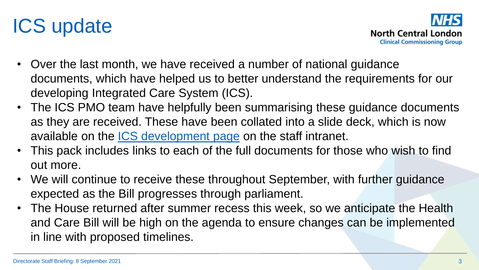



- Over the last month, we have received a number of national guidance documents, which have helped us to better understand the requirements for our developing Integrated Care System (ICS).
- The ICS PMO team have helpfully been summarising these guidance documents as they are received. These have been collated into a slide deck, which is now available on the [ICS development page](https://intranet.northcentrallondonccg.nhs.uk/working/ncl-change-programme/north-central-london-integrated-care-system.htm) on the staff intranet.
- This pack includes links to each of the full documents for those who wish to find out more.
- We will continue to receive these throughout September, with further guidance expected as the Bill progresses through parliament.
- The House returned after summer recess this week, so we anticipate the Health and Care Bill will be high on the agenda to ensure changes can be implemented in line with proposed timelines.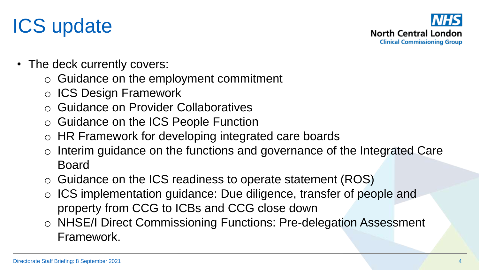## ICS update



- The deck currently covers:
	- o Guidance on the employment commitment
	- o ICS Design Framework
	- o Guidance on Provider Collaboratives
	- o Guidance on the ICS People Function
	- o HR Framework for developing integrated care boards
	- o Interim guidance on the functions and governance of the Integrated Care Board
	- o Guidance on the ICS readiness to operate statement (ROS)
	- o ICS implementation guidance: Due diligence, transfer of people and property from CCG to ICBs and CCG close down
	- o NHSE/I Direct Commissioning Functions: Pre-delegation Assessment Framework.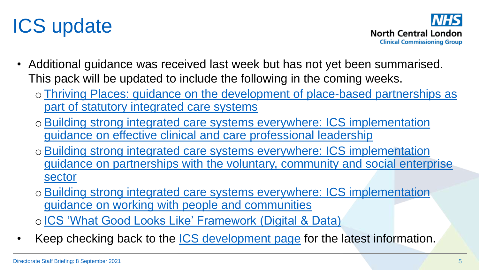



- Additional guidance was received last week but has not yet been summarised. This pack will be updated to include the following in the coming weeks.
	- o[Thriving Places: guidance on the development of place-based partnerships as](https://www.england.nhs.uk/publication/integrated-care-systems-guidance/) part of statutory integrated care systems
	- o[Building strong integrated care systems everywhere: ICS implementation](https://www.england.nhs.uk/publication/integrated-care-systems-guidance/) guidance on effective clinical and care professional leadership
	- oBuilding strong integrated care systems everywhere: ICS implementation [guidance on partnerships with the voluntary, community and social enterprise](https://www.england.nhs.uk/publication/integrated-care-systems-guidance/)  sector
	- o[Building strong integrated care systems everywhere: ICS implementation](https://www.england.nhs.uk/publication/integrated-care-systems-guidance/) guidance on working with people and communities

o[ICS 'What Good Looks Like' Framework \(Digital & Data\)](https://www.nhsx.nhs.uk/digitise-connect-transform/what-good-looks-like/)

Keep checking back to the [ICS development page](https://intranet.northcentrallondonccg.nhs.uk/working/ncl-change-programme/north-central-london-integrated-care-system.htm) for the latest information.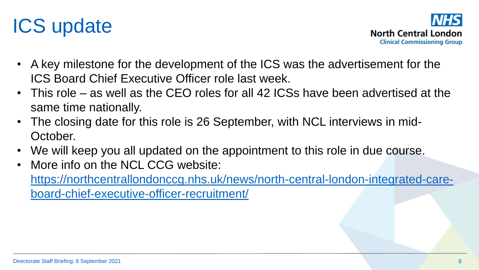



- A key milestone for the development of the ICS was the advertisement for the ICS Board Chief Executive Officer role last week.
- This role as well as the CEO roles for all 42 ICSs have been advertised at the same time nationally.
- The closing date for this role is 26 September, with NCL interviews in mid-October.
- We will keep you all updated on the appointment to this role in due course.
- More info on the NCL CCG website: [https://northcentrallondonccg.nhs.uk/news/north-central-london-integrated-care](https://northcentrallondonccg.nhs.uk/news/north-central-london-integrated-care-board-chief-executive-officer-recruitment/)board-chief-executive-officer-recruitment/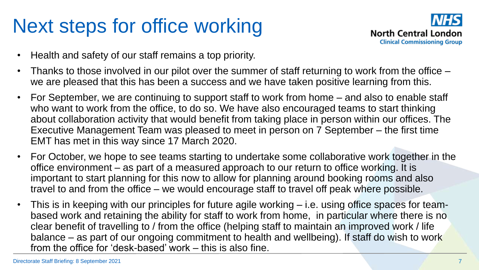

- Health and safety of our staff remains a top priority.
- Thanks to those involved in our pilot over the summer of staff returning to work from the office we are pleased that this has been a success and we have taken positive learning from this.
- For September, we are continuing to support staff to work from home and also to enable staff who want to work from the office, to do so. We have also encouraged teams to start thinking about collaboration activity that would benefit from taking place in person within our offices. The Executive Management Team was pleased to meet in person on 7 September – the first time EMT has met in this way since 17 March 2020.
- For October, we hope to see teams starting to undertake some collaborative work together in the office environment – as part of a measured approach to our return to office working. It is important to start planning for this now to allow for planning around booking rooms and also travel to and from the office – we would encourage staff to travel off peak where possible.
- This is in keeping with our principles for future agile working i.e. using office spaces for teambased work and retaining the ability for staff to work from home, in particular where there is no clear benefit of travelling to / from the office (helping staff to maintain an improved work / life balance – as part of our ongoing commitment to health and wellbeing). If staff do wish to work from the office for 'desk-based' work – this is also fine.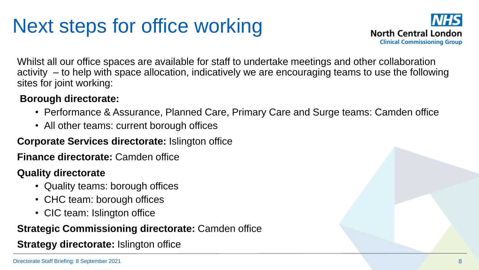

Whilst all our office spaces are available for staff to undertake meetings and other collaboration activity – to help with space allocation, indicatively we are encouraging teams to use the following sites for joint working:

#### **Borough directorate:**

- Performance & Assurance, Planned Care, Primary Care and Surge teams: Camden office
- All other teams: current borough offices

#### **Corporate Services directorate:** Islington office

**Finance directorate:** Camden office

#### **Quality directorate**

- Quality teams: borough offices
- CHC team: borough offices
- CIC team: Islington office

#### **Strategic Commissioning directorate:** Camden office

**Strategy directorate:** Islington office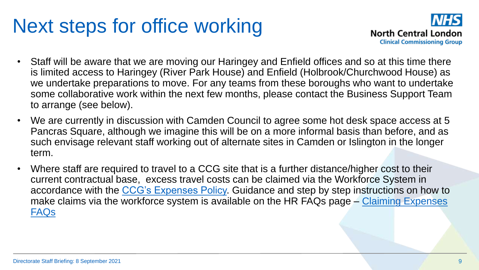

- Staff will be aware that we are moving our Haringey and Enfield offices and so at this time there is limited access to Haringey (River Park House) and Enfield (Holbrook/Churchwood House) as we undertake preparations to move. For any teams from these boroughs who want to undertake some collaborative work within the next few months, please contact the Business Support Team to arrange (see below).
- We are currently in discussion with Camden Council to agree some hot desk space access at 5 Pancras Square, although we imagine this will be on a more informal basis than before, and as such envisage relevant staff working out of alternate sites in Camden or Islington in the longer term.
- Where staff are required to travel to a CCG site that is a further distance/higher cost to their current contractual base, excess travel costs can be claimed via the Workforce System in accordance with the [CCG's Expenses Policy.](https://intranet.northcentrallondonccg.nhs.uk/policies/policies.htm) Guidance and step by step instructions on how to [make claims via the workforce system is available on the HR FAQs page –](https://intranet.northcentrallondonccg.nhs.uk/downloads/HR FAQs/Claiming Expenses and Overtime FAQs.pdf) Claiming Expenses FAQs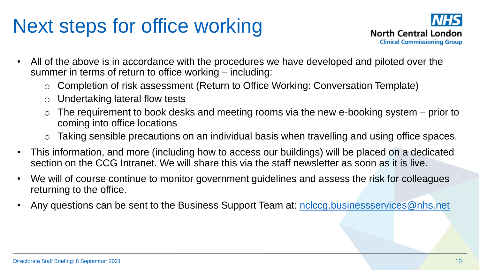

- All of the above is in accordance with the procedures we have developed and piloted over the summer in terms of return to office working – including:
	- o Completion of risk assessment (Return to Office Working: Conversation Template)
	- o Undertaking lateral flow tests
	- The requirement to book desks and meeting rooms via the new e-booking system prior to coming into office locations
	- Taking sensible precautions on an individual basis when travelling and using office spaces.
- This information, and more (including how to access our buildings) will be placed on a dedicated section on the CCG Intranet. We will share this via the staff newsletter as soon as it is live.
- We will of course continue to monitor government guidelines and assess the risk for colleagues returning to the office.
- Any questions can be sent to the Business Support Team at: [nclccg.businessservices@nhs.net](mailto:nclccg.businessservices@nhs.net)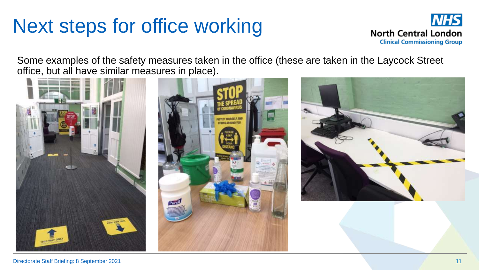

Some examples of the safety measures taken in the office (these are taken in the Laycock Street office, but all have similar measures in place).

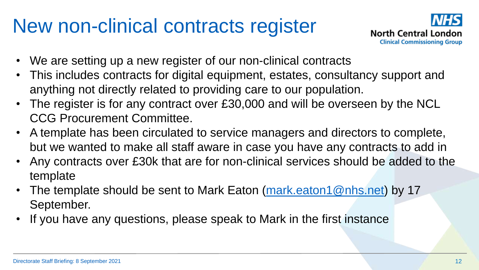#### New non-clinical contracts register



- We are setting up a new register of our non-clinical contracts
- This includes contracts for digital equipment, estates, consultancy support and anything not directly related to providing care to our population.
- The register is for any contract over £30,000 and will be overseen by the NCL CCG Procurement Committee.
- A template has been circulated to service managers and directors to complete, but we wanted to make all staff aware in case you have any contracts to add in
- Any contracts over £30k that are for non-clinical services should be added to the template
- The template should be sent to Mark Eaton [\(mark.eaton1@nhs.net\)](mailto:mark.eaton1@nhs.net) by 17 September.
- If you have any questions, please speak to Mark in the first instance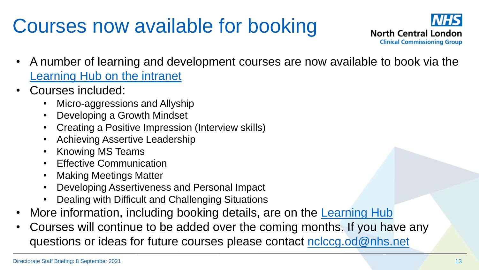# Courses now available for booking



- A number of learning and development courses are now available to book via the Learning Hub on the intranet
- Courses included:
	- Micro-aggressions and Allyship
	- Developing a Growth Mindset
	- Creating a Positive Impression (Interview skills)
	- Achieving Assertive Leadership
	- Knowing MS Teams
	- **Effective Communication**
	- **Making Meetings Matter**
	- Developing Assertiveness and Personal Impact
	- Dealing with Difficult and Challenging Situations
- More information, including booking details, are on the [Learning Hub](https://intranet.northcentrallondonccg.nhs.uk/training/learning-hub.htm)
- Courses will continue to be added over the coming months. If you have any questions or ideas for future courses please contact [nclccg.od@nhs.net](mailto:nclccg.od@nhs.net)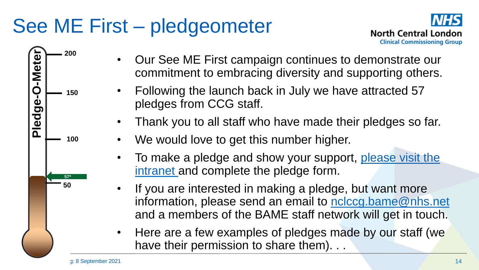## See ME First – pledgeometer





- Our See ME First campaign continues to demonstrate our commitment to embracing diversity and supporting others.
- Following the launch back in July we have attracted 57 pledges from CCG staff.
- Thank you to all staff who have made their pledges so far.
- We would love to get this number higher.
- To make a pledge and show your support, please visit the intranet and complete the pledge form.
- If you are interested in making a pledge, but want more information, please send an email to [nclccg.bame@nhs.net](mailto:nclccg.bame@nhs.net) and a members of the BAME staff network will get in touch.
- Here are a few examples of pledges made by our staff (we have their permission to share them). . .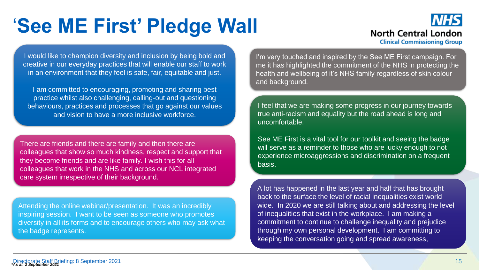## '**See ME First' Pledge Wall**



I would like to champion diversity and inclusion by being bold and creative in our everyday practices that will enable our staff to work in an environment that they feel is safe, fair, equitable and just.

I am committed to encouraging, promoting and sharing best practice whilst also challenging, calling-out and questioning behaviours, practices and processes that go against our values and vision to have a more inclusive workforce.

There are friends and there are family and then there are colleagues that show so much kindness, respect and support that they become friends and are like family. I wish this for all colleagues that work in the NHS and across our NCL integrated care system irrespective of their background.

Attending the online webinar/presentation. It was an incredibly inspiring session. I want to be seen as someone who promotes diversity in all its forms and to encourage others who may ask what the badge represents.

I'm very touched and inspired by the See ME First campaign. For me it has highlighted the commitment of the NHS in protecting the health and wellbeing of it's NHS family regardless of skin colour and background.

I feel that we are making some progress in our journey towards true anti-racism and equality but the road ahead is long and uncomfortable.

See ME First is a vital tool for our toolkit and seeing the badge will serve as a reminder to those who are lucky enough to not experience microaggressions and discrimination on a frequent basis.

A lot has happened in the last year and half that has brought back to the surface the level of racial inequalities exist world wide. In 2020 we are still talking about and addressing the level of inequalities that exist in the workplace. I am making a commitment to continue to challenge inequality and prejudice through my own personal development. I am committing to keeping the conversation going and spread awareness,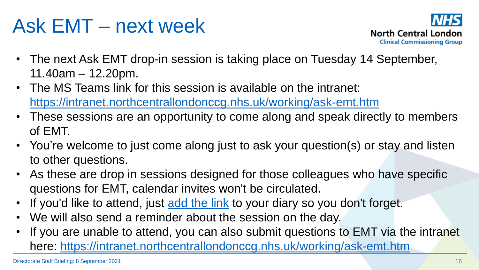### Ask EMT – next week



- The next Ask EMT drop-in session is taking place on Tuesday 14 September, 11.40am – 12.20pm.
- The MS Teams link for this session is available on the intranet: <https://intranet.northcentrallondonccg.nhs.uk/working/ask-emt.htm>
- These sessions are an opportunity to come along and speak directly to members of EMT.
- You're welcome to just come along just to ask your question(s) or stay and listen to other questions.
- As these are drop in sessions designed for those colleagues who have specific questions for EMT, calendar invites won't be circulated.
- If you'd like to attend, just [add the link](https://teams.microsoft.com/l/meetup-join/19%3ameeting_YjMwOWNiNTAtMWNhOC00MjhhLTkwMzAtZmFhNGVkMzM4NDc3%40thread.v2/0?context=%7b%22Tid%22%3a%2237c354b2-85b0-47f5-b222-07b48d774ee3%22%2c%22Oid%22%3a%22111a0b37-fb94-4749-8c45-bc83440c423f%22%7d) to your diary so you don't forget.
- We will also send a reminder about the session on the day.
- If you are unable to attend, you can also submit questions to EMT via the intranet here: <https://intranet.northcentrallondonccg.nhs.uk/working/ask-emt.htm>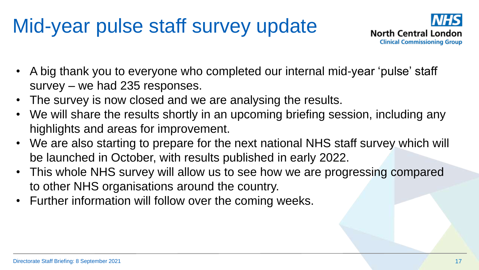## Mid-year pulse staff survey update



- A big thank you to everyone who completed our internal mid-year 'pulse' staff survey – we had 235 responses.
- The survey is now closed and we are analysing the results.
- We will share the results shortly in an upcoming briefing session, including any highlights and areas for improvement.
- We are also starting to prepare for the next national NHS staff survey which will be launched in October, with results published in early 2022.
- This whole NHS survey will allow us to see how we are progressing compared to other NHS organisations around the country.
- Further information will follow over the coming weeks.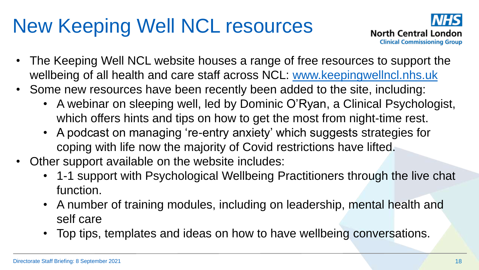# New Keeping Well NCL resources



- The Keeping Well NCL website houses a range of free resources to support the wellbeing of all health and care staff across NCL: [www.keepingwellncl.nhs.uk](http://www.keepingwellncl.nhs.uk/)
- Some new resources have been recently been added to the site, including:
	- A webinar on sleeping well, led by Dominic O'Ryan, a Clinical Psychologist, which offers hints and tips on how to get the most from night-time rest.
	- A podcast on managing 're-entry anxiety' which suggests strategies for coping with life now the majority of Covid restrictions have lifted.
- Other support available on the website includes:
	- 1-1 support with Psychological Wellbeing Practitioners through the live chat function.
	- A number of training modules, including on leadership, mental health and self care
	- Top tips, templates and ideas on how to have wellbeing conversations.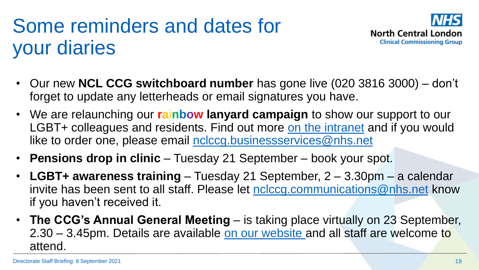## Some reminders and dates for your diaries



- Our new **NCL CCG switchboard number** has gone live (020 3816 3000) don't forget to update any letterheads or email signatures you have.
- We are relaunching our **rainbow lanyard campaign** to show our support to our LGBT+ colleagues and residents. Find out more [on the intranet](https://intranet.northcentrallondonccg.nhs.uk/ncl-news/returning-to-the-office-rainbow-lanyards/481687) and if you would like to order one, please email [nclccg.businessservices@nhs.net](mailto:nclccg.businessservices@nhs.net)
- **Pensions drop in clinic**  Tuesday 21 September book your spot.
- **LGBT+ awareness training**  Tuesday 21 September, 2 3.30pm a calendar invite has been sent to all staff. Please let [nclccg.communications@nhs.net](mailto:nclccg.communications@nhs.net) know if you haven't received it.
- **The CCG's Annual General Meeting**  is taking place virtually on 23 September, 2.30 – 3.45pm. Details are available [on our website](https://northcentrallondonccg.nhs.uk/news/north-central-london-ccg-annual-general-meeting-2020-2021-save-the-date-thursday-23-september-2021/) and all staff are welcome to attend.